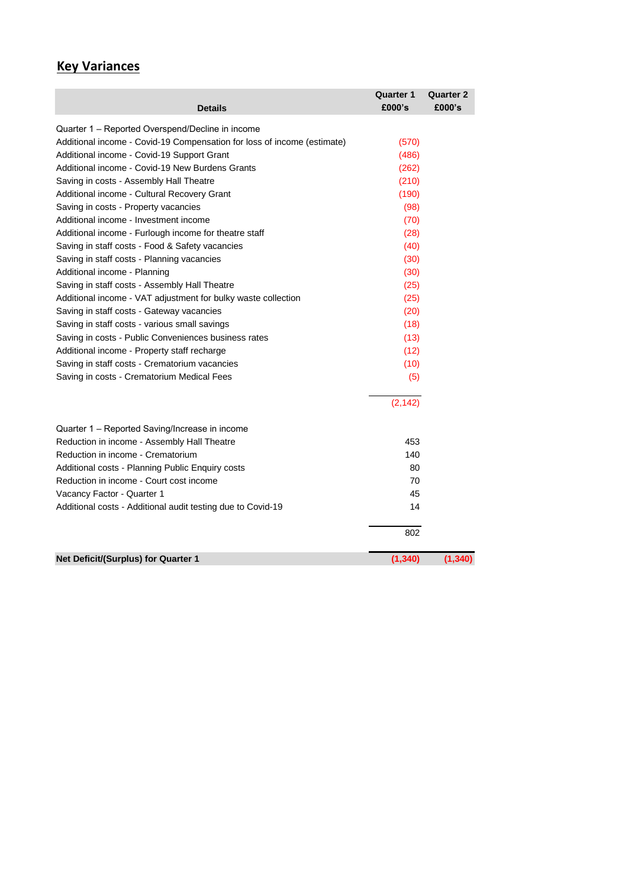## **Key Variances**

| <b>Details</b>                                                          | <b>Quarter 1</b><br>£000's | <b>Quarter 2</b><br>£000's |
|-------------------------------------------------------------------------|----------------------------|----------------------------|
| Quarter 1 - Reported Overspend/Decline in income                        |                            |                            |
| Additional income - Covid-19 Compensation for loss of income (estimate) | (570)                      |                            |
| Additional income - Covid-19 Support Grant                              | (486)                      |                            |
| Additional income - Covid-19 New Burdens Grants                         | (262)                      |                            |
| Saving in costs - Assembly Hall Theatre                                 | (210)                      |                            |
| Additional income - Cultural Recovery Grant                             | (190)                      |                            |
| Saving in costs - Property vacancies                                    | (98)                       |                            |
| Additional income - Investment income                                   | (70)                       |                            |
| Additional income - Furlough income for theatre staff                   | (28)                       |                            |
| Saving in staff costs - Food & Safety vacancies                         | (40)                       |                            |
| Saving in staff costs - Planning vacancies                              | (30)                       |                            |
| Additional income - Planning                                            | (30)                       |                            |
| Saving in staff costs - Assembly Hall Theatre                           | (25)                       |                            |
| Additional income - VAT adjustment for bulky waste collection           | (25)                       |                            |
| Saving in staff costs - Gateway vacancies                               | (20)                       |                            |
| Saving in staff costs - various small savings                           | (18)                       |                            |
| Saving in costs - Public Conveniences business rates                    | (13)                       |                            |
| Additional income - Property staff recharge                             | (12)                       |                            |
| Saving in staff costs - Crematorium vacancies                           | (10)                       |                            |
| Saving in costs - Crematorium Medical Fees                              | (5)                        |                            |
|                                                                         | (2, 142)                   |                            |
| Quarter 1 – Reported Saving/Increase in income                          |                            |                            |
| Reduction in income - Assembly Hall Theatre                             | 453                        |                            |
| Reduction in income - Crematorium                                       | 140                        |                            |
| Additional costs - Planning Public Enquiry costs                        | 80                         |                            |
| Reduction in income - Court cost income                                 | 70                         |                            |
| Vacancy Factor - Quarter 1                                              | 45                         |                            |
| Additional costs - Additional audit testing due to Covid-19             | 14                         |                            |
|                                                                         | 802                        |                            |
| Net Deficit/(Surplus) for Quarter 1                                     | (1, 340)                   | (1, 340)                   |